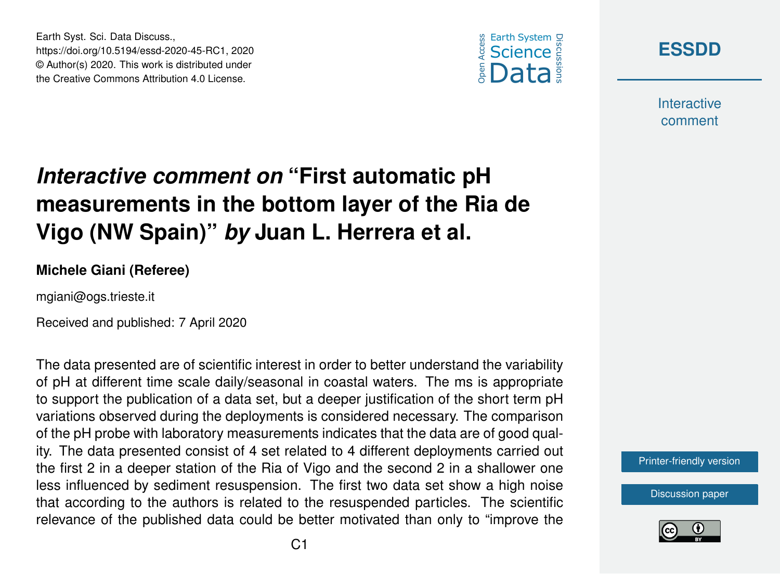



**Interactive** comment

## *Interactive comment on* **"First automatic pH measurements in the bottom layer of the Ria de Vigo (NW Spain)"** *by* **Juan L. Herrera et al.**

## **Michele Giani (Referee)**

Earth Syst. Sci. Data Discuss.,

https://doi.org/10.5194/essd-2020-45-RC1, 2020 © Author(s) 2020. This work is distributed under the Creative Commons Attribution 4.0 License.

mgiani@ogs.trieste.it

Received and published: 7 April 2020

The data presented are of scientific interest in order to better understand the variability of pH at different time scale daily/seasonal in coastal waters. The ms is appropriate to support the publication of a data set, but a deeper justification of the short term pH variations observed during the deployments is considered necessary. The comparison of the pH probe with laboratory measurements indicates that the data are of good quality. The data presented consist of 4 set related to 4 different deployments carried out the first 2 in a deeper station of the Ria of Vigo and the second 2 in a shallower one less influenced by sediment resuspension. The first two data set show a high noise that according to the authors is related to the resuspended particles. The scientific relevance of the published data could be better motivated than only to "improve the



[Discussion paper](https://www.earth-syst-sci-data-discuss.net/essd-2020-45)

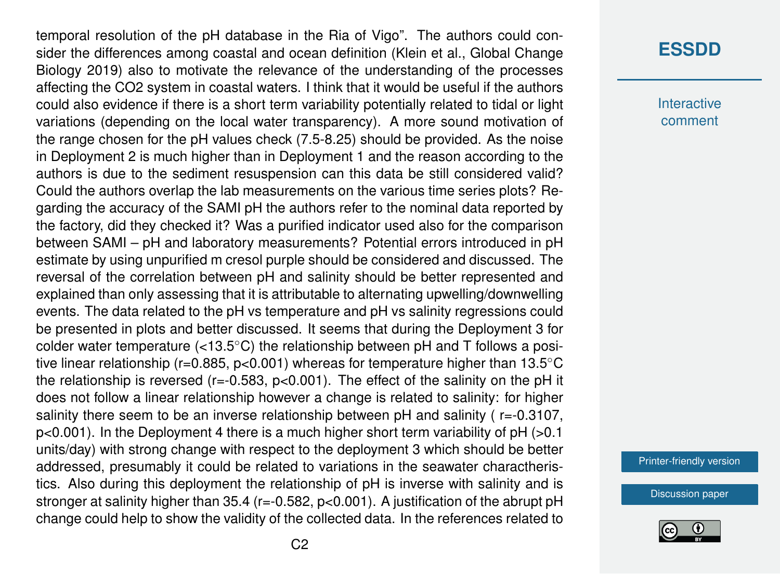temporal resolution of the pH database in the Ria of Vigo". The authors could consider the differences among coastal and ocean definition (Klein et al., Global Change Biology 2019) also to motivate the relevance of the understanding of the processes affecting the CO2 system in coastal waters. I think that it would be useful if the authors could also evidence if there is a short term variability potentially related to tidal or light variations (depending on the local water transparency). A more sound motivation of the range chosen for the pH values check (7.5-8.25) should be provided. As the noise in Deployment 2 is much higher than in Deployment 1 and the reason according to the authors is due to the sediment resuspension can this data be still considered valid? Could the authors overlap the lab measurements on the various time series plots? Regarding the accuracy of the SAMI pH the authors refer to the nominal data reported by the factory, did they checked it? Was a purified indicator used also for the comparison between SAMI – pH and laboratory measurements? Potential errors introduced in pH estimate by using unpurified m cresol purple should be considered and discussed. The reversal of the correlation between pH and salinity should be better represented and explained than only assessing that it is attributable to alternating upwelling/downwelling events. The data related to the pH vs temperature and pH vs salinity regressions could be presented in plots and better discussed. It seems that during the Deployment 3 for colder water temperature (<13.5 $\degree$ C) the relationship between pH and T follows a positive linear relationship (r=0.885, p<0.001) whereas for temperature higher than 13.5◦C the relationship is reversed ( $r = -0.583$ ,  $p < 0.001$ ). The effect of the salinity on the pH it does not follow a linear relationship however a change is related to salinity: for higher salinity there seem to be an inverse relationship between pH and salinity (r=-0.3107, p<0.001). In the Deployment 4 there is a much higher short term variability of pH (>0.1 units/day) with strong change with respect to the deployment 3 which should be better addressed, presumably it could be related to variations in the seawater charactheristics. Also during this deployment the relationship of pH is inverse with salinity and is stronger at salinity higher than 35.4 (r=-0.582, p<0.001). A justification of the abrupt pH change could help to show the validity of the collected data. In the references related to

## **[ESSDD](https://www.earth-syst-sci-data-discuss.net/)**

**Interactive** comment

[Printer-friendly version](https://www.earth-syst-sci-data-discuss.net/essd-2020-45/essd-2020-45-RC1-print.pdf)

[Discussion paper](https://www.earth-syst-sci-data-discuss.net/essd-2020-45)